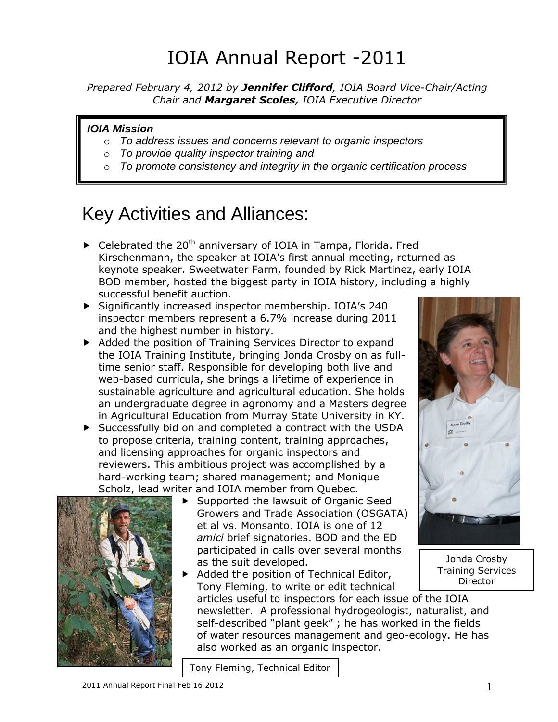# IOIA Annual Report -2011

*Prepared February 4, 2012 by Jennifer Clifford, IOIA Board Vice-Chair/Acting Chair and Margaret Scoles, IOIA Executive Director*

#### *IOIA Mission*

- o *To address issues and concerns relevant to organic inspectors*
- o *To provide quality inspector training and*
- o *To promote consistency and integrity in the organic certification process*

## Key Activities and Alliances:

- $\blacktriangleright$  Celebrated the 20<sup>th</sup> anniversary of IOIA in Tampa, Florida. Fred Kirschenmann, the speaker at IOIA's first annual meeting, returned as keynote speaker. Sweetwater Farm, founded by Rick Martinez, early IOIA BOD member, hosted the biggest party in IOIA history, including a highly successful benefit auction.
- Significantly increased inspector membership. IOIA's 240 inspector members represent a 6.7% increase during 2011 and the highest number in history.
- Added the position of Training Services Director to expand the IOIA Training Institute, bringing Jonda Crosby on as fulltime senior staff. Responsible for developing both live and web-based curricula, she brings a lifetime of experience in sustainable agriculture and agricultural education. She holds an undergraduate degree in agronomy and a Masters degree in Agricultural Education from Murray State University in KY.
- Successfully bid on and completed a contract with the USDA to propose criteria, training content, training approaches, and licensing approaches for organic inspectors and reviewers. This ambitious project was accomplished by a hard-working team; shared management; and Monique Scholz, lead writer and IOIA member from Quebec.



- ▶ Supported the lawsuit of Organic Seed Growers and Trade Association (OSGATA) et al vs. Monsanto. IOIA is one of 12 *amici* brief signatories. BOD and the ED participated in calls over several months as the suit developed.
- Added the position of Technical Editor, Tony Fleming, to write or edit technical articles useful to inspectors for each issue of the IOIA newsletter. A professional hydrogeologist, naturalist, and self-described "plant geek" ; he has worked in the fields of water resources management and geo-ecology. He has also worked as an organic inspector.

Tony Fleming, Technical Editor



Jonda Crosby Training Services Director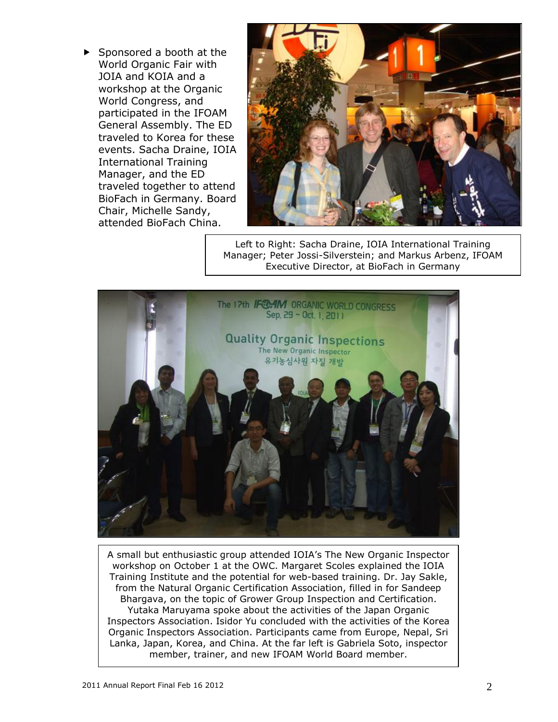$\blacktriangleright$  Sponsored a booth at the World Organic Fair with JOIA and KOIA and a workshop at the Organic World Congress, and participated in the IFOAM General Assembly. The ED traveled to Korea for these events. Sacha Draine, IOIA International Training Manager, and the ED traveled together to attend BioFach in Germany. Board Chair, Michelle Sandy, attended BioFach China.



Left to Right: Sacha Draine, IOIA International Training Manager; Peter Jossi-Silverstein; and Markus Arbenz, IFOAM Executive Director, at BioFach in Germany



A small but enthusiastic group attended IOIA's The New Organic Inspector workshop on October 1 at the OWC. Margaret Scoles explained the IOIA Training Institute and the potential for web-based training. Dr. Jay Sakle, from the Natural Organic Certification Association, filled in for Sandeep Bhargava, on the topic of Grower Group Inspection and Certification. Yutaka Maruyama spoke about the activities of the Japan Organic Inspectors Association. Isidor Yu concluded with the activities of the Korea Organic Inspectors Association. Participants came from Europe, Nepal, Sri Lanka, Japan, Korea, and China. At the far left is Gabriela Soto, inspector member, trainer, and new IFOAM World Board member.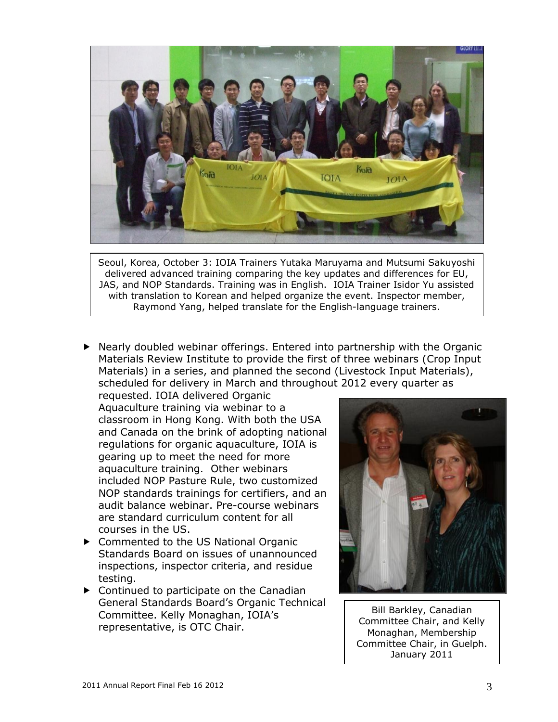

Seoul, Korea, October 3: IOIA Trainers Yutaka Maruyama and Mutsumi Sakuyoshi delivered advanced training comparing the key updates and differences for EU, JAS, and NOP Standards. Training was in English. IOIA Trainer Isidor Yu assisted with translation to Korean and helped organize the event. Inspector member, Raymond Yang, helped translate for the English-language trainers.

 $\blacktriangleright$  Nearly doubled webinar offerings. Entered into partnership with the Organic Materials Review Institute to provide the first of three webinars (Crop Input Materials) in a series, and planned the second (Livestock Input Materials), scheduled for delivery in March and throughout 2012 every quarter as

requested. IOIA delivered Organic Aquaculture training via webinar to a classroom in Hong Kong. With both the USA and Canada on the brink of adopting national regulations for organic aquaculture, IOIA is gearing up to meet the need for more aquaculture training. Other webinars included NOP Pasture Rule, two customized NOP standards trainings for certifiers, and an audit balance webinar. Pre-course webinars are standard curriculum content for all courses in the US.

- ▶ Commented to the US National Organic Standards Board on issues of unannounced inspections, inspector criteria, and residue testing.
- ▶ Continued to participate on the Canadian General Standards Board's Organic Technical Committee. Kelly Monaghan, IOIA's representative, is OTC Chair.



Bill Barkley, Canadian Committee Chair, and Kelly Monaghan, Membership Committee Chair, in Guelph. January 2011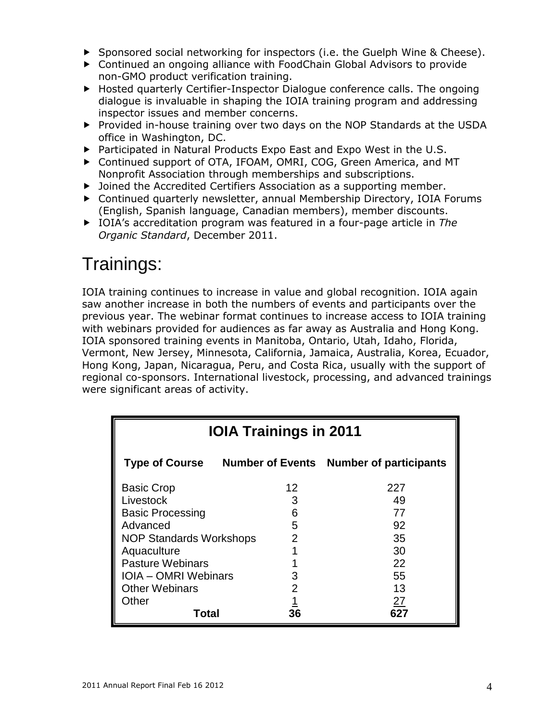- ▶ Sponsored social networking for inspectors (i.e. the Guelph Wine & Cheese).
- Continued an ongoing alliance with FoodChain Global Advisors to provide non-GMO product verification training.
- ▶ Hosted quarterly Certifier-Inspector Dialogue conference calls. The ongoing dialogue is invaluable in shaping the IOIA training program and addressing inspector issues and member concerns.
- Provided in-house training over two days on the NOP Standards at the USDA office in Washington, DC.
- ▶ Participated in Natural Products Expo East and Expo West in the U.S.
- Continued support of OTA, IFOAM, OMRI, COG, Green America, and MT Nonprofit Association through memberships and subscriptions.
- Joined the Accredited Certifiers Association as a supporting member.
- Continued quarterly newsletter, annual Membership Directory, IOIA Forums (English, Spanish language, Canadian members), member discounts.
- IOIA's accreditation program was featured in a four-page article in *The Organic Standard*, December 2011.

### Trainings:

IOIA training continues to increase in value and global recognition. IOIA again saw another increase in both the numbers of events and participants over the previous year. The webinar format continues to increase access to IOIA training with webinars provided for audiences as far away as Australia and Hong Kong. IOIA sponsored training events in Manitoba, Ontario, Utah, Idaho, Florida, Vermont, New Jersey, Minnesota, California, Jamaica, Australia, Korea, Ecuador, Hong Kong, Japan, Nicaragua, Peru, and Costa Rica, usually with the support of regional co-sponsors. International livestock, processing, and advanced trainings were significant areas of activity.

| <b>IOIA Trainings in 2011</b>  |    |                                                        |
|--------------------------------|----|--------------------------------------------------------|
|                                |    | Type of Course Number of Events Number of participants |
| <b>Basic Crop</b>              | 12 | 227                                                    |
| Livestock                      |    | 49                                                     |
| <b>Basic Processing</b>        | Բ  | 77                                                     |
| Advanced                       | 5  | 92                                                     |
| <b>NOP Standards Workshops</b> | 2  | 35                                                     |
| Aquaculture                    |    | 30                                                     |
| <b>Pasture Webinars</b>        |    | 22                                                     |
| <b>IOIA - OMRI Webinars</b>    |    | 55                                                     |
| <b>Other Webinars</b>          |    | 13                                                     |
| Other                          |    | 27                                                     |
| Total                          | 36 |                                                        |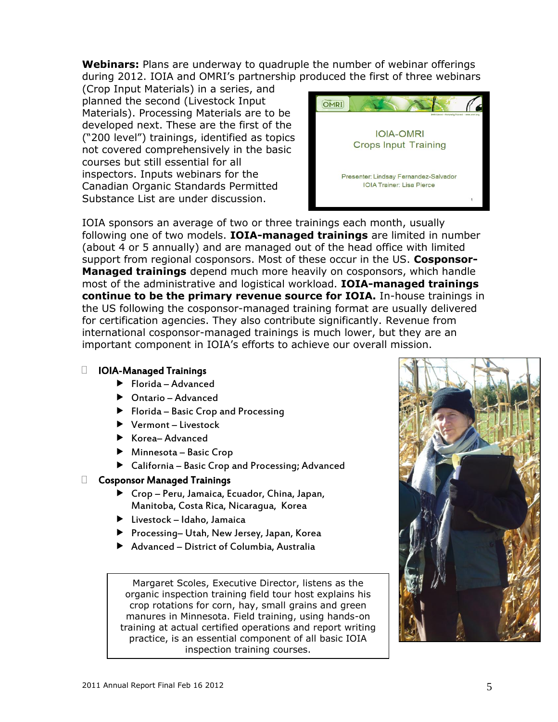**Webinars:** Plans are underway to quadruple the number of webinar offerings during 2012. IOIA and OMRI's partnership produced the first of three webinars

(Crop Input Materials) in a series, and planned the second (Livestock Input Materials). Processing Materials are to be developed next. These are the first of the ("200 level") trainings, identified as topics not covered comprehensively in the basic courses but still essential for all inspectors. Inputs webinars for the Canadian Organic Standards Permitted Substance List are under discussion.



IOIA sponsors an average of two or three trainings each month, usually following one of two models. **IOIA-managed trainings** are limited in number (about 4 or 5 annually) and are managed out of the head office with limited support from regional cosponsors. Most of these occur in the US. **Cosponsor-Managed trainings** depend much more heavily on cosponsors, which handle most of the administrative and logistical workload. **IOIA-managed trainings continue to be the primary revenue source for IOIA.** In-house trainings in the US following the cosponsor-managed training format are usually delivered for certification agencies. They also contribute significantly. Revenue from international cosponsor-managed trainings is much lower, but they are an important component in IOIA's efforts to achieve our overall mission.

#### IOIA-Managed Trainings

- $\blacktriangleright$  Florida Advanced
- Ontario Advanced
- $\blacktriangleright$  Florida Basic Crop and Processing
- ▶ Vermont Livestock
- $\blacktriangleright$  Korea– Advanced
- ▶ Minnesota Basic Crop
- California Basic Crop and Processing; Advanced

#### Cosponsor Managed Trainings

- Crop Peru, Jamaica, Ecuador, China, Japan, Manitoba, Costa Rica, Nicaragua, Korea
- Livestock Idaho, Jamaica
- ▶ Processing– Utah, New Jersey, Japan, Korea
- Advanced District of Columbia, Australia

Margaret Scoles, Executive Director, listens as the organic inspection training field tour host explains his crop rotations for corn, hay, small grains and green manures in Minnesota. Field training, using hands-on training at actual certified operations and report writing practice, is an essential component of all basic IOIA inspection training courses.

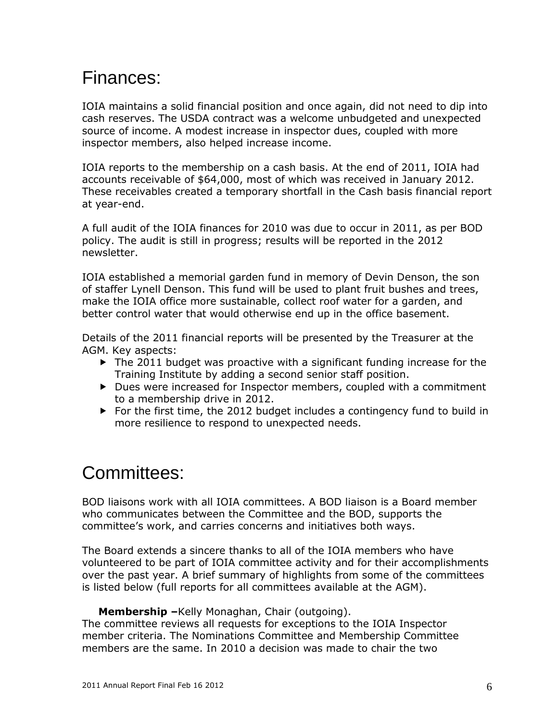## Finances:

IOIA maintains a solid financial position and once again, did not need to dip into cash reserves. The USDA contract was a welcome unbudgeted and unexpected source of income. A modest increase in inspector dues, coupled with more inspector members, also helped increase income.

IOIA reports to the membership on a cash basis. At the end of 2011, IOIA had accounts receivable of \$64,000, most of which was received in January 2012. These receivables created a temporary shortfall in the Cash basis financial report at year-end.

A full audit of the IOIA finances for 2010 was due to occur in 2011, as per BOD policy. The audit is still in progress; results will be reported in the 2012 newsletter.

IOIA established a memorial garden fund in memory of Devin Denson, the son of staffer Lynell Denson. This fund will be used to plant fruit bushes and trees, make the IOIA office more sustainable, collect roof water for a garden, and better control water that would otherwise end up in the office basement.

Details of the 2011 financial reports will be presented by the Treasurer at the AGM. Key aspects:

- $\blacktriangleright$  The 2011 budget was proactive with a significant funding increase for the Training Institute by adding a second senior staff position.
- ▶ Dues were increased for Inspector members, coupled with a commitment to a membership drive in 2012.
- ▶ For the first time, the 2012 budget includes a contingency fund to build in more resilience to respond to unexpected needs.

### Committees:

BOD liaisons work with all IOIA committees. A BOD liaison is a Board member who communicates between the Committee and the BOD, supports the committee's work, and carries concerns and initiatives both ways.

The Board extends a sincere thanks to all of the IOIA members who have volunteered to be part of IOIA committee activity and for their accomplishments over the past year. A brief summary of highlights from some of the committees is listed below (full reports for all committees available at the AGM).

#### **Membership –**Kelly Monaghan, Chair (outgoing).

The committee reviews all requests for exceptions to the IOIA Inspector member criteria. The Nominations Committee and Membership Committee members are the same. In 2010 a decision was made to chair the two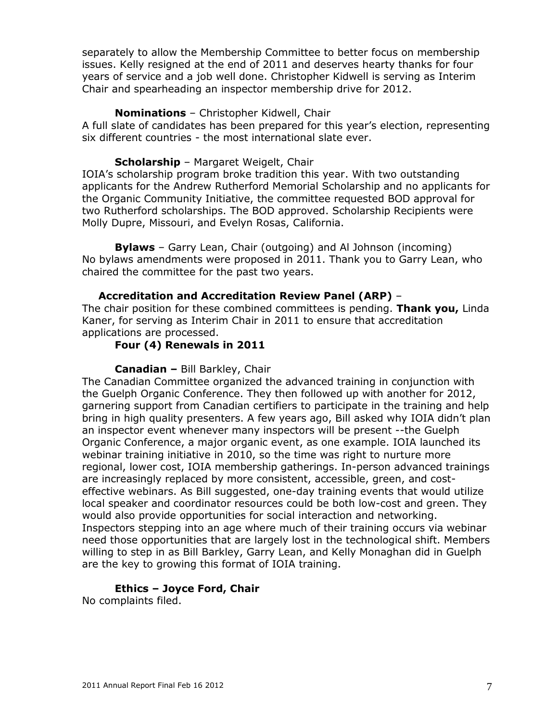separately to allow the Membership Committee to better focus on membership issues. Kelly resigned at the end of 2011 and deserves hearty thanks for four years of service and a job well done. Christopher Kidwell is serving as Interim Chair and spearheading an inspector membership drive for 2012.

#### **Nominations** – Christopher Kidwell, Chair

A full slate of candidates has been prepared for this year's election, representing six different countries - the most international slate ever.

#### **Scholarship** – Margaret Weigelt, Chair

IOIA's scholarship program broke tradition this year. With two outstanding applicants for the Andrew Rutherford Memorial Scholarship and no applicants for the Organic Community Initiative, the committee requested BOD approval for two Rutherford scholarships. The BOD approved. Scholarship Recipients were Molly Dupre, Missouri, and Evelyn Rosas, California.

**Bylaws** – Garry Lean, Chair (outgoing) and Al Johnson (incoming) No bylaws amendments were proposed in 2011. Thank you to Garry Lean, who chaired the committee for the past two years.

#### **Accreditation and Accreditation Review Panel (ARP)** –

The chair position for these combined committees is pending. **Thank you,** Linda Kaner, for serving as Interim Chair in 2011 to ensure that accreditation applications are processed.

#### **Four (4) Renewals in 2011**

#### **Canadian –** Bill Barkley, Chair

The Canadian Committee organized the advanced training in conjunction with the Guelph Organic Conference. They then followed up with another for 2012, garnering support from Canadian certifiers to participate in the training and help bring in high quality presenters. A few years ago, Bill asked why IOIA didn't plan an inspector event whenever many inspectors will be present --the Guelph Organic Conference, a major organic event, as one example. IOIA launched its webinar training initiative in 2010, so the time was right to nurture more regional, lower cost, IOIA membership gatherings. In-person advanced trainings are increasingly replaced by more consistent, accessible, green, and costeffective webinars. As Bill suggested, one-day training events that would utilize local speaker and coordinator resources could be both low-cost and green. They would also provide opportunities for social interaction and networking. Inspectors stepping into an age where much of their training occurs via webinar need those opportunities that are largely lost in the technological shift. Members willing to step in as Bill Barkley, Garry Lean, and Kelly Monaghan did in Guelph are the key to growing this format of IOIA training.

### **Ethics – Joyce Ford, Chair**

No complaints filed.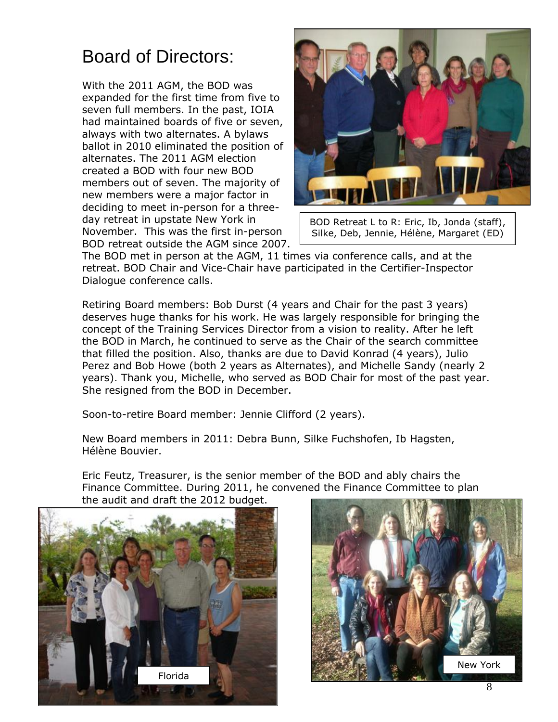# Board of Directors:

With the 2011 AGM, the BOD was expanded for the first time from five to seven full members. In the past, IOIA had maintained boards of five or seven, always with two alternates. A bylaws ballot in 2010 eliminated the position of alternates. The 2011 AGM election created a BOD with four new BOD members out of seven. The majority of new members were a major factor in deciding to meet in-person for a threeday retreat in upstate New York in November. This was the first in-person BOD retreat outside the AGM since 2007.



BOD Retreat L to R: Eric, Ib, Jonda (staff), Silke, Deb, Jennie, Hélène, Margaret (ED)

The BOD met in person at the AGM, 11 times via conference calls, and at the retreat. BOD Chair and Vice-Chair have participated in the Certifier-Inspector Dialogue conference calls.

Retiring Board members: Bob Durst (4 years and Chair for the past 3 years) deserves huge thanks for his work. He was largely responsible for bringing the concept of the Training Services Director from a vision to reality. After he left the BOD in March, he continued to serve as the Chair of the search committee that filled the position. Also, thanks are due to David Konrad (4 years), Julio Perez and Bob Howe (both 2 years as Alternates), and Michelle Sandy (nearly 2 years). Thank you, Michelle, who served as BOD Chair for most of the past year. She resigned from the BOD in December.

Soon-to-retire Board member: Jennie Clifford (2 years).

New Board members in 2011: Debra Bunn, Silke Fuchshofen, Ib Hagsten, Hélène Bouvier.

Eric Feutz, Treasurer, is the senior member of the BOD and ably chairs the Finance Committee. During 2011, he convened the Finance Committee to plan the audit and draft the 2012 budget.